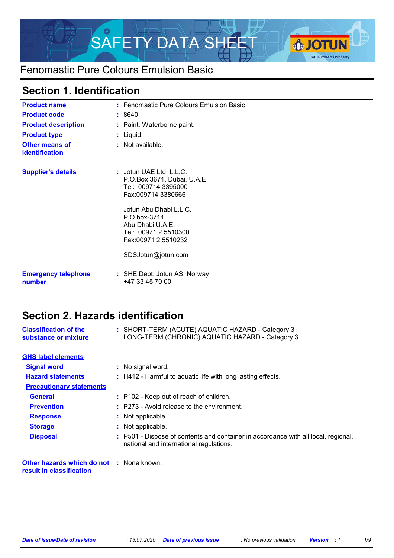

## Fenomastic Pure Colours Emulsion Basic

## **Section 1. Identification**

| <b>Product name</b>                            | $:$ Fenomastic Pure Colours Emulsion Basic $\:$                                                           |
|------------------------------------------------|-----------------------------------------------------------------------------------------------------------|
| <b>Product code</b>                            | : 8640                                                                                                    |
| <b>Product description</b>                     | : Paint. Waterborne paint.                                                                                |
| <b>Product type</b>                            | : Liquid.                                                                                                 |
| <b>Other means of</b><br><b>identification</b> | $:$ Not available.                                                                                        |
| <b>Supplier's details</b>                      | : Jotun UAE Ltd. L.L.C.<br>P.O.Box 3671, Dubai, U.A.E.<br>Tel: 009714 3395000<br>Fax:009714 3380666       |
|                                                | Jotun Abu Dhabi L.L.C.<br>P.O.box-3714<br>Abu Dhabi U.A.E.<br>Tel: 00971 2 5510300<br>Fax:00971 2 5510232 |
|                                                | SDSJotun@jotun.com                                                                                        |
| <b>Emergency telephone</b><br>number           | : SHE Dept. Jotun AS, Norway<br>+47 33 45 70 00                                                           |

## **Section 2. Hazards identification**

| <b>Classification of the</b><br>substance or mixture                        | : SHORT-TERM (ACUTE) AQUATIC HAZARD - Category 3<br>LONG-TERM (CHRONIC) AQUATIC HAZARD - Category 3                           |
|-----------------------------------------------------------------------------|-------------------------------------------------------------------------------------------------------------------------------|
| <b>GHS label elements</b>                                                   |                                                                                                                               |
| <b>Signal word</b>                                                          | : No signal word.                                                                                                             |
| <b>Hazard statements</b>                                                    | : H412 - Harmful to aquatic life with long lasting effects.                                                                   |
| <b>Precautionary statements</b>                                             |                                                                                                                               |
| General                                                                     | : P102 - Keep out of reach of children.                                                                                       |
| <b>Prevention</b>                                                           | $:$ P273 - Avoid release to the environment.                                                                                  |
| <b>Response</b>                                                             | : Not applicable.                                                                                                             |
| <b>Storage</b>                                                              | : Not applicable.                                                                                                             |
| <b>Disposal</b>                                                             | : P501 - Dispose of contents and container in accordance with all local, regional,<br>national and international regulations. |
| <b>Other hazards which do not : None known.</b><br>result in classification |                                                                                                                               |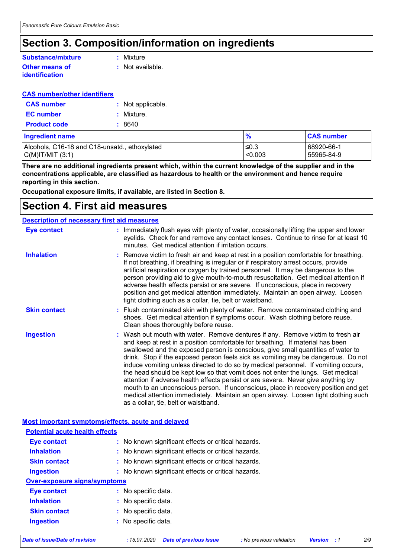## **Section 3. Composition/information on ingredients**

#### **Other means of identification Substance/mixture**

**:** Mixture

**:** Not available.

#### **CAS number/other identifiers**

| <b>CAS</b> number   | : Not applicable. |
|---------------------|-------------------|
| <b>EC</b> number    | : Mixture.        |
| <b>Product code</b> | : 8640            |

| Ingredient name                               | $\frac{9}{6}$ | <b>CAS number</b> |
|-----------------------------------------------|---------------|-------------------|
| Alcohols, C16-18 and C18-unsatd., ethoxylated | ≤0.3          | 68920-66-1        |
| C(M) T/MIT (3:1)                              | < 0.003       | 55965-84-9        |

**There are no additional ingredients present which, within the current knowledge of the supplier and in the concentrations applicable, are classified as hazardous to health or the environment and hence require reporting in this section.**

**Occupational exposure limits, if available, are listed in Section 8.**

### **Section 4. First aid measures**

| <b>Description of necessary first aid measures</b> |                                                                                                                                                                                                                                                                                                                                                                                                                                                                                                                                                                                                                                                                                                                                                                                                                              |
|----------------------------------------------------|------------------------------------------------------------------------------------------------------------------------------------------------------------------------------------------------------------------------------------------------------------------------------------------------------------------------------------------------------------------------------------------------------------------------------------------------------------------------------------------------------------------------------------------------------------------------------------------------------------------------------------------------------------------------------------------------------------------------------------------------------------------------------------------------------------------------------|
| <b>Eye contact</b>                                 | : Immediately flush eyes with plenty of water, occasionally lifting the upper and lower<br>eyelids. Check for and remove any contact lenses. Continue to rinse for at least 10<br>minutes. Get medical attention if irritation occurs.                                                                                                                                                                                                                                                                                                                                                                                                                                                                                                                                                                                       |
| <b>Inhalation</b>                                  | : Remove victim to fresh air and keep at rest in a position comfortable for breathing.<br>If not breathing, if breathing is irregular or if respiratory arrest occurs, provide<br>artificial respiration or oxygen by trained personnel. It may be dangerous to the<br>person providing aid to give mouth-to-mouth resuscitation. Get medical attention if<br>adverse health effects persist or are severe. If unconscious, place in recovery<br>position and get medical attention immediately. Maintain an open airway. Loosen<br>tight clothing such as a collar, tie, belt or waistband.                                                                                                                                                                                                                                 |
| <b>Skin contact</b>                                | : Flush contaminated skin with plenty of water. Remove contaminated clothing and<br>shoes. Get medical attention if symptoms occur. Wash clothing before reuse.<br>Clean shoes thoroughly before reuse.                                                                                                                                                                                                                                                                                                                                                                                                                                                                                                                                                                                                                      |
| <b>Ingestion</b>                                   | : Wash out mouth with water. Remove dentures if any. Remove victim to fresh air<br>and keep at rest in a position comfortable for breathing. If material has been<br>swallowed and the exposed person is conscious, give small quantities of water to<br>drink. Stop if the exposed person feels sick as vomiting may be dangerous. Do not<br>induce vomiting unless directed to do so by medical personnel. If vomiting occurs,<br>the head should be kept low so that vomit does not enter the lungs. Get medical<br>attention if adverse health effects persist or are severe. Never give anything by<br>mouth to an unconscious person. If unconscious, place in recovery position and get<br>medical attention immediately. Maintain an open airway. Loosen tight clothing such<br>as a collar, tie, belt or waistband. |

**Most important symptoms/effects, acute and delayed**

| <b>Potential acute health effects</b> |                                                     |  |  |  |
|---------------------------------------|-----------------------------------------------------|--|--|--|
| <b>Eye contact</b>                    | : No known significant effects or critical hazards. |  |  |  |
| <b>Inhalation</b>                     | : No known significant effects or critical hazards. |  |  |  |
| <b>Skin contact</b>                   | : No known significant effects or critical hazards. |  |  |  |
| <b>Ingestion</b>                      | : No known significant effects or critical hazards. |  |  |  |
| <b>Over-exposure signs/symptoms</b>   |                                                     |  |  |  |
| Eye contact                           | : No specific data.                                 |  |  |  |
| <b>Inhalation</b>                     | : No specific data.                                 |  |  |  |
| <b>Skin contact</b>                   | : No specific data.                                 |  |  |  |
| <b>Ingestion</b>                      | : No specific data.                                 |  |  |  |

*Date of issue/Date of revision* **:** *15.07.2020 Date of previous issue : No previous validation Version : 1 2/9*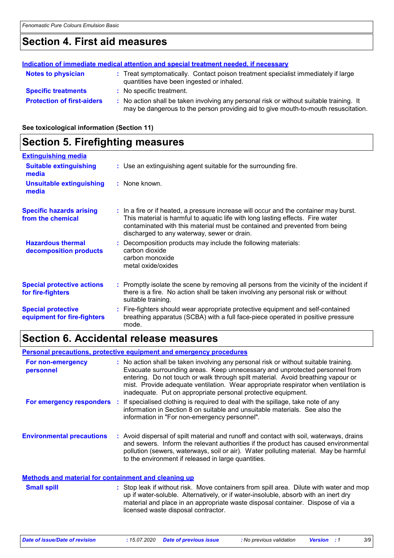### **Section 4. First aid measures**

|                                   | Indication of immediate medical attention and special treatment needed, if necessary                                                                                          |
|-----------------------------------|-------------------------------------------------------------------------------------------------------------------------------------------------------------------------------|
| <b>Notes to physician</b>         | : Treat symptomatically. Contact poison treatment specialist immediately if large<br>quantities have been ingested or inhaled.                                                |
| <b>Specific treatments</b>        | : No specific treatment.                                                                                                                                                      |
| <b>Protection of first-aiders</b> | : No action shall be taken involving any personal risk or without suitable training. It<br>may be dangerous to the person providing aid to give mouth-to-mouth resuscitation. |

**See toxicological information (Section 11)**

### **Section 5. Firefighting measures**

| <b>Extinguishing media</b>                               |                                                                                                                                                                                                                                                                                                      |
|----------------------------------------------------------|------------------------------------------------------------------------------------------------------------------------------------------------------------------------------------------------------------------------------------------------------------------------------------------------------|
| <b>Suitable extinguishing</b><br>media                   | : Use an extinguishing agent suitable for the surrounding fire.                                                                                                                                                                                                                                      |
| <b>Unsuitable extinguishing</b><br>media                 | : None known.                                                                                                                                                                                                                                                                                        |
| <b>Specific hazards arising</b><br>from the chemical     | : In a fire or if heated, a pressure increase will occur and the container may burst.<br>This material is harmful to aquatic life with long lasting effects. Fire water<br>contaminated with this material must be contained and prevented from being<br>discharged to any waterway, sewer or drain. |
| <b>Hazardous thermal</b><br>decomposition products       | : Decomposition products may include the following materials:<br>carbon dioxide<br>carbon monoxide<br>metal oxide/oxides                                                                                                                                                                             |
| <b>Special protective actions</b><br>for fire-fighters   | : Promptly isolate the scene by removing all persons from the vicinity of the incident if<br>there is a fire. No action shall be taken involving any personal risk or without<br>suitable training.                                                                                                  |
| <b>Special protective</b><br>equipment for fire-fighters | : Fire-fighters should wear appropriate protective equipment and self-contained<br>breathing apparatus (SCBA) with a full face-piece operated in positive pressure<br>mode.                                                                                                                          |

### **Section 6. Accidental release measures**

**Personal precautions, protective equipment and emergency procedures**

| For non-emergency<br>personnel                              | : No action shall be taken involving any personal risk or without suitable training.<br>Evacuate surrounding areas. Keep unnecessary and unprotected personnel from<br>entering. Do not touch or walk through spilt material. Avoid breathing vapour or<br>mist. Provide adequate ventilation. Wear appropriate respirator when ventilation is<br>inadequate. Put on appropriate personal protective equipment. |
|-------------------------------------------------------------|-----------------------------------------------------------------------------------------------------------------------------------------------------------------------------------------------------------------------------------------------------------------------------------------------------------------------------------------------------------------------------------------------------------------|
| For emergency responders                                    | : If specialised clothing is required to deal with the spillage, take note of any<br>information in Section 8 on suitable and unsuitable materials. See also the<br>information in "For non-emergency personnel".                                                                                                                                                                                               |
| <b>Environmental precautions</b>                            | : Avoid dispersal of spilt material and runoff and contact with soil, waterways, drains<br>and sewers. Inform the relevant authorities if the product has caused environmental<br>pollution (sewers, waterways, soil or air). Water polluting material. May be harmful<br>to the environment if released in large quantities.                                                                                   |
| <b>Methods and material for containment and cleaning up</b> |                                                                                                                                                                                                                                                                                                                                                                                                                 |

#### Stop leak if without risk. Move containers from spill area. Dilute with water and mop up if water-soluble. Alternatively, or if water-insoluble, absorb with an inert dry material and place in an appropriate waste disposal container. Dispose of via a licensed waste disposal contractor. **Small spill :**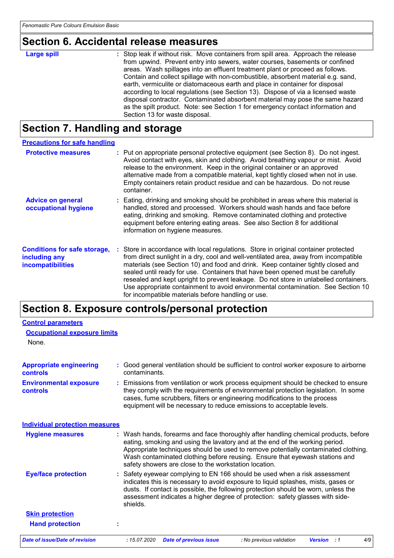# **Section 6. Accidental release measures**

| <b>Large spill</b> | : Stop leak if without risk. Move containers from spill area. Approach the release<br>from upwind. Prevent entry into sewers, water courses, basements or confined<br>areas. Wash spillages into an effluent treatment plant or proceed as follows.<br>Contain and collect spillage with non-combustible, absorbent material e.g. sand,<br>earth, vermiculite or diatomaceous earth and place in container for disposal |
|--------------------|-------------------------------------------------------------------------------------------------------------------------------------------------------------------------------------------------------------------------------------------------------------------------------------------------------------------------------------------------------------------------------------------------------------------------|
|                    | according to local regulations (see Section 13). Dispose of via a licensed waste<br>disposal contractor. Contaminated absorbent material may pose the same hazard                                                                                                                                                                                                                                                       |
|                    | as the spilt product. Note: see Section 1 for emergency contact information and                                                                                                                                                                                                                                                                                                                                         |
|                    | Section 13 for waste disposal.                                                                                                                                                                                                                                                                                                                                                                                          |

# **Section 7. Handling and storage**

| <b>Precautions for safe handling</b>                                             |                                                                                                                                                                                                                                                                                                                                                                                                                                                                                                                                                                                     |
|----------------------------------------------------------------------------------|-------------------------------------------------------------------------------------------------------------------------------------------------------------------------------------------------------------------------------------------------------------------------------------------------------------------------------------------------------------------------------------------------------------------------------------------------------------------------------------------------------------------------------------------------------------------------------------|
| <b>Protective measures</b>                                                       | : Put on appropriate personal protective equipment (see Section 8). Do not ingest.<br>Avoid contact with eyes, skin and clothing. Avoid breathing vapour or mist. Avoid<br>release to the environment. Keep in the original container or an approved<br>alternative made from a compatible material, kept tightly closed when not in use.<br>Empty containers retain product residue and can be hazardous. Do not reuse<br>container.                                                                                                                                               |
| <b>Advice on general</b><br>occupational hygiene                                 | : Eating, drinking and smoking should be prohibited in areas where this material is<br>handled, stored and processed. Workers should wash hands and face before<br>eating, drinking and smoking. Remove contaminated clothing and protective<br>equipment before entering eating areas. See also Section 8 for additional<br>information on hygiene measures.                                                                                                                                                                                                                       |
| <b>Conditions for safe storage,</b><br>including any<br><b>incompatibilities</b> | : Store in accordance with local regulations. Store in original container protected<br>from direct sunlight in a dry, cool and well-ventilated area, away from incompatible<br>materials (see Section 10) and food and drink. Keep container tightly closed and<br>sealed until ready for use. Containers that have been opened must be carefully<br>resealed and kept upright to prevent leakage. Do not store in unlabelled containers.<br>Use appropriate containment to avoid environmental contamination. See Section 10<br>for incompatible materials before handling or use. |

# **Section 8. Exposure controls/personal protection**

| <b>Control parameters</b>                         |                                                                                                                                                                                                                                                                                                                                                                                                   |
|---------------------------------------------------|---------------------------------------------------------------------------------------------------------------------------------------------------------------------------------------------------------------------------------------------------------------------------------------------------------------------------------------------------------------------------------------------------|
| <b>Occupational exposure limits</b>               |                                                                                                                                                                                                                                                                                                                                                                                                   |
| None.                                             |                                                                                                                                                                                                                                                                                                                                                                                                   |
| <b>Appropriate engineering</b><br><b>controls</b> | : Good general ventilation should be sufficient to control worker exposure to airborne<br>contaminants.                                                                                                                                                                                                                                                                                           |
| <b>Environmental exposure</b><br><b>controls</b>  | : Emissions from ventilation or work process equipment should be checked to ensure<br>they comply with the requirements of environmental protection legislation. In some<br>cases, fume scrubbers, filters or engineering modifications to the process<br>equipment will be necessary to reduce emissions to acceptable levels.                                                                   |
| <b>Individual protection measures</b>             |                                                                                                                                                                                                                                                                                                                                                                                                   |
| <b>Hygiene measures</b>                           | : Wash hands, forearms and face thoroughly after handling chemical products, before<br>eating, smoking and using the lavatory and at the end of the working period.<br>Appropriate techniques should be used to remove potentially contaminated clothing.<br>Wash contaminated clothing before reusing. Ensure that eyewash stations and<br>safety showers are close to the workstation location. |
| <b>Eye/face protection</b>                        | : Safety eyewear complying to EN 166 should be used when a risk assessment<br>indicates this is necessary to avoid exposure to liquid splashes, mists, gases or<br>dusts. If contact is possible, the following protection should be worn, unless the<br>assessment indicates a higher degree of protection: safety glasses with side-<br>shields.                                                |
| <b>Skin protection</b>                            |                                                                                                                                                                                                                                                                                                                                                                                                   |
| <b>Hand protection</b>                            |                                                                                                                                                                                                                                                                                                                                                                                                   |
| <b>Date of issue/Date of revision</b>             | : 15.07.2020<br>4/9<br><b>Date of previous issue</b><br>: No previous validation<br><b>Version</b> : 1                                                                                                                                                                                                                                                                                            |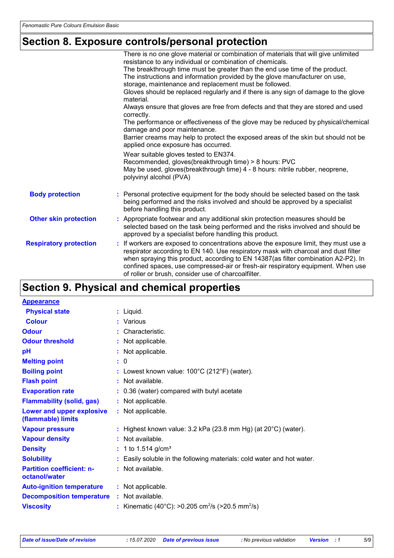# **Section 8. Exposure controls/personal protection**

|                               | There is no one glove material or combination of materials that will give unlimited<br>resistance to any individual or combination of chemicals.                                                                                                                                                                                                                                                            |
|-------------------------------|-------------------------------------------------------------------------------------------------------------------------------------------------------------------------------------------------------------------------------------------------------------------------------------------------------------------------------------------------------------------------------------------------------------|
|                               | The breakthrough time must be greater than the end use time of the product.                                                                                                                                                                                                                                                                                                                                 |
|                               | The instructions and information provided by the glove manufacturer on use,                                                                                                                                                                                                                                                                                                                                 |
|                               | storage, maintenance and replacement must be followed.                                                                                                                                                                                                                                                                                                                                                      |
|                               | Gloves should be replaced regularly and if there is any sign of damage to the glove<br>material.                                                                                                                                                                                                                                                                                                            |
|                               | Always ensure that gloves are free from defects and that they are stored and used<br>correctly.                                                                                                                                                                                                                                                                                                             |
|                               | The performance or effectiveness of the glove may be reduced by physical/chemical<br>damage and poor maintenance.                                                                                                                                                                                                                                                                                           |
|                               | Barrier creams may help to protect the exposed areas of the skin but should not be<br>applied once exposure has occurred.                                                                                                                                                                                                                                                                                   |
|                               | Wear suitable gloves tested to EN374.<br>Recommended, gloves(breakthrough time) > 8 hours: PVC<br>May be used, gloves(breakthrough time) 4 - 8 hours: nitrile rubber, neoprene,                                                                                                                                                                                                                             |
|                               | polyvinyl alcohol (PVA)                                                                                                                                                                                                                                                                                                                                                                                     |
| <b>Body protection</b>        | : Personal protective equipment for the body should be selected based on the task<br>being performed and the risks involved and should be approved by a specialist<br>before handling this product.                                                                                                                                                                                                         |
| <b>Other skin protection</b>  | : Appropriate footwear and any additional skin protection measures should be<br>selected based on the task being performed and the risks involved and should be<br>approved by a specialist before handling this product.                                                                                                                                                                                   |
| <b>Respiratory protection</b> | : If workers are exposed to concentrations above the exposure limit, they must use a<br>respirator according to EN 140. Use respiratory mask with charcoal and dust filter<br>when spraying this product, according to EN 14387(as filter combination A2-P2). In<br>confined spaces, use compressed-air or fresh-air respiratory equipment. When use<br>of roller or brush, consider use of charcoalfilter. |

## **Section 9. Physical and chemical properties**

| <b>Appearance</b>                                 |    |                                                                            |
|---------------------------------------------------|----|----------------------------------------------------------------------------|
| <b>Physical state</b>                             |    | : Liquid.                                                                  |
| <b>Colour</b>                                     |    | : Various                                                                  |
| <b>Odour</b>                                      |    | : Characteristic.                                                          |
| <b>Odour threshold</b>                            |    | : Not applicable.                                                          |
| рH                                                |    | : Not applicable.                                                          |
| <b>Melting point</b>                              |    | : 0                                                                        |
| <b>Boiling point</b>                              |    | : Lowest known value: $100^{\circ}$ C (212 $^{\circ}$ F) (water).          |
| <b>Flash point</b>                                |    | : Not available.                                                           |
| <b>Evaporation rate</b>                           |    | : 0.36 (water) compared with butyl acetate                                 |
| <b>Flammability (solid, gas)</b>                  |    | : Not applicable.                                                          |
| Lower and upper explosive<br>(flammable) limits   |    | : Not applicable.                                                          |
| <b>Vapour pressure</b>                            |    | : Highest known value: $3.2$ kPa (23.8 mm Hg) (at $20^{\circ}$ C) (water). |
| <b>Vapour density</b>                             |    | $:$ Not available.                                                         |
| <b>Density</b>                                    |    | : 1 to 1.514 g/cm <sup>3</sup>                                             |
| <b>Solubility</b>                                 |    | Easily soluble in the following materials: cold water and hot water.       |
| <b>Partition coefficient: n-</b><br>octanol/water |    | : Not available.                                                           |
| <b>Auto-ignition temperature</b>                  |    | : Not applicable.                                                          |
| <b>Decomposition temperature</b>                  |    | : Not available.                                                           |
| <b>Viscosity</b>                                  | t. | Kinematic (40°C): >0.205 cm <sup>2</sup> /s (>20.5 mm <sup>2</sup> /s)     |
|                                                   |    |                                                                            |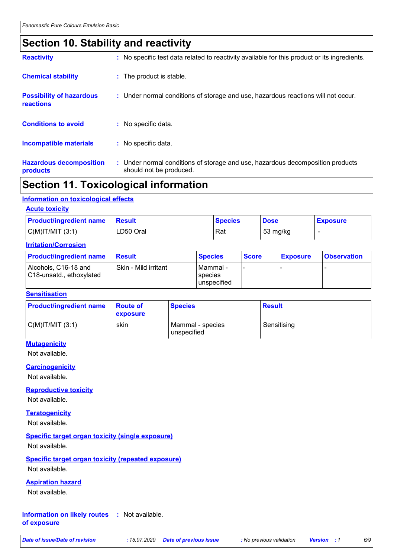### **Section 10. Stability and reactivity**

| <b>Reactivity</b>                            | : No specific test data related to reactivity available for this product or its ingredients.              |
|----------------------------------------------|-----------------------------------------------------------------------------------------------------------|
| <b>Chemical stability</b>                    | : The product is stable.                                                                                  |
| <b>Possibility of hazardous</b><br>reactions | : Under normal conditions of storage and use, hazardous reactions will not occur.                         |
| <b>Conditions to avoid</b>                   | : No specific data.                                                                                       |
| <b>Incompatible materials</b>                | : No specific data.                                                                                       |
| <b>Hazardous decomposition</b><br>products   | : Under normal conditions of storage and use, hazardous decomposition products<br>should not be produced. |

### **Section 11. Toxicological information**

#### **Information on toxicological effects**

#### **Acute toxicity**

| <b>Product/ingredient name</b> | <b>⊩Result</b> | <b>Species</b> | <b>Dose</b>        | <b>Exposure</b> |
|--------------------------------|----------------|----------------|--------------------|-----------------|
| $C(M)$ IT/MIT $(3:1)$          | LD50 Oral      | Rat            | $53 \text{ mg/kg}$ |                 |

#### **Irritation/Corrosion**

| <b>Product/ingredient name</b>                   | <b>Result</b>        | <b>Species</b>                       | <b>Score</b> | <b>Exposure</b> | <b>Observation</b> |
|--------------------------------------------------|----------------------|--------------------------------------|--------------|-----------------|--------------------|
| Alcohols, C16-18 and<br>C18-unsatd., ethoxylated | Skin - Mild irritant | I Mammal -<br>species<br>unspecified |              |                 |                    |

#### **Sensitisation**

| <b>Product/ingredient name</b> | <b>Route of</b><br><b>exposure</b> | <b>Species</b>                  | <b>Result</b> |
|--------------------------------|------------------------------------|---------------------------------|---------------|
| $C(M)$ IT/MIT $(3:1)$          | skin                               | Mammal - species<br>unspecified | Sensitising   |

#### **Mutagenicity**

Not available.

#### **Carcinogenicity**

Not available.

#### **Reproductive toxicity**

Not available.

#### **Teratogenicity**

Not available.

#### **Specific target organ toxicity (single exposure)**

Not available.

#### **Specific target organ toxicity (repeated exposure)** Not available.

#### **Aspiration hazard**

Not available.

#### **Information on likely routes :** Not available. **of exposure**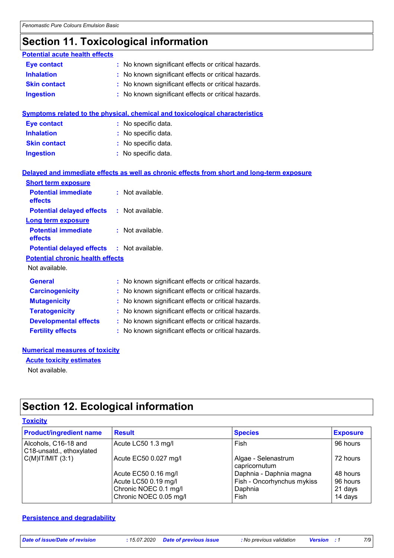## **Section 11. Toxicological information**

| <b>Potential acute health effects</b>   |    |                                                                                            |
|-----------------------------------------|----|--------------------------------------------------------------------------------------------|
| <b>Eye contact</b>                      |    | : No known significant effects or critical hazards.                                        |
| <b>Inhalation</b>                       |    | No known significant effects or critical hazards.                                          |
| <b>Skin contact</b>                     |    | : No known significant effects or critical hazards.                                        |
| <b>Ingestion</b>                        |    | : No known significant effects or critical hazards.                                        |
|                                         |    |                                                                                            |
|                                         |    | <b>Symptoms related to the physical, chemical and toxicological characteristics</b>        |
| <b>Eye contact</b>                      |    | : No specific data.                                                                        |
| <b>Inhalation</b>                       |    | : No specific data.                                                                        |
| <b>Skin contact</b>                     |    | No specific data.                                                                          |
| <b>Ingestion</b>                        |    | : No specific data.                                                                        |
|                                         |    |                                                                                            |
|                                         |    | Delayed and immediate effects as well as chronic effects from short and long-term exposure |
| <b>Short term exposure</b>              |    |                                                                                            |
| <b>Potential immediate</b>              |    | : Not available.                                                                           |
| effects                                 |    |                                                                                            |
| <b>Potential delayed effects</b>        |    | : Not available.                                                                           |
| <b>Long term exposure</b>               |    |                                                                                            |
| <b>Potential immediate</b><br>effects   |    | Not available.                                                                             |
| <b>Potential delayed effects</b>        | t. | Not available.                                                                             |
| <b>Potential chronic health effects</b> |    |                                                                                            |
| Not available.                          |    |                                                                                            |
|                                         |    |                                                                                            |
| <b>General</b>                          |    | : No known significant effects or critical hazards.                                        |
| <b>Carcinogenicity</b>                  |    | : No known significant effects or critical hazards.                                        |
| <b>Mutagenicity</b>                     | t. | No known significant effects or critical hazards.                                          |
| <b>Teratogenicity</b>                   |    | : No known significant effects or critical hazards.                                        |
| <b>Developmental effects</b>            |    | : No known significant effects or critical hazards.                                        |
| <b>Fertility effects</b>                |    | : No known significant effects or critical hazards.                                        |
|                                         |    |                                                                                            |

#### **Numerical measures of toxicity**

**Acute toxicity estimates**

Not available.

## **Section 12. Ecological information**

#### **Toxicity**

| <b>Product/ingredient name</b>                   | <b>Result</b>          | <b>Species</b>                       | <b>Exposure</b> |
|--------------------------------------------------|------------------------|--------------------------------------|-----------------|
| Alcohols, C16-18 and<br>C18-unsatd., ethoxylated | Acute LC50 1.3 mg/l    | Fish                                 | 96 hours        |
| $C(M)$ IT/MIT $(3:1)$                            | Acute EC50 0.027 mg/l  | Algae - Selenastrum<br>capricornutum | 72 hours        |
|                                                  | Acute EC50 0.16 mg/l   | Daphnia - Daphnia magna              | 48 hours        |
|                                                  | Acute LC50 0.19 mg/l   | Fish - Oncorhynchus mykiss           | 96 hours        |
|                                                  | Chronic NOEC 0.1 mg/l  | Daphnia                              | 21 days         |
|                                                  | Chronic NOEC 0.05 mg/l | Fish                                 | 14 days         |

#### **Persistence and degradability**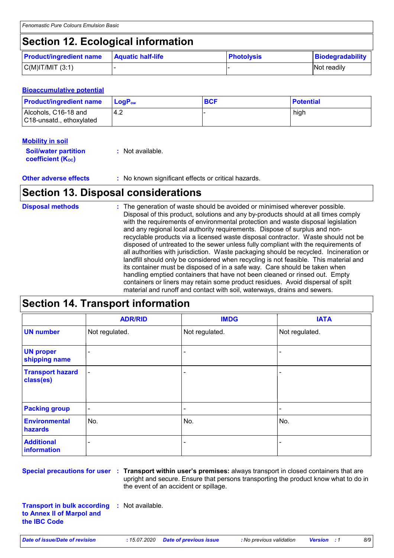## **Section 12. Ecological information**

| <b>Product/ingredient name</b> | <b>Aquatic half-life</b> | <b>Photolysis</b> | Biodegradability |
|--------------------------------|--------------------------|-------------------|------------------|
| $C(M)$ IT/MIT $(3:1)$          |                          |                   | Not readily      |

#### **Bioaccumulative potential**

| <b>Product/ingredient name</b>                   | $\mathsf{LogP}_\mathsf{ow}$ | <b>BCF</b> | <b>Potential</b> |
|--------------------------------------------------|-----------------------------|------------|------------------|
| Alcohols, C16-18 and<br>C18-unsatd., ethoxylated | 4.2                         |            | high             |

#### **Mobility in soil**

| <b>Soil/water partition</b> | : Not available. |
|-----------------------------|------------------|
| <b>coefficient (Koc)</b>    |                  |

**Other adverse effects** : No known significant effects or critical hazards.

### **Section 13. Disposal considerations**

| <b>Disposal methods</b> | : The generation of waste should be avoided or minimised wherever possible.<br>Disposal of this product, solutions and any by-products should at all times comply<br>with the requirements of environmental protection and waste disposal legislation<br>and any regional local authority requirements. Dispose of surplus and non-<br>recyclable products via a licensed waste disposal contractor. Waste should not be<br>disposed of untreated to the sewer unless fully compliant with the requirements of<br>all authorities with jurisdiction. Waste packaging should be recycled. Incineration or<br>landfill should only be considered when recycling is not feasible. This material and<br>its container must be disposed of in a safe way. Care should be taken when<br>handling emptied containers that have not been cleaned or rinsed out. Empty |
|-------------------------|---------------------------------------------------------------------------------------------------------------------------------------------------------------------------------------------------------------------------------------------------------------------------------------------------------------------------------------------------------------------------------------------------------------------------------------------------------------------------------------------------------------------------------------------------------------------------------------------------------------------------------------------------------------------------------------------------------------------------------------------------------------------------------------------------------------------------------------------------------------|
|                         | containers or liners may retain some product residues. Avoid dispersal of spilt<br>material and runoff and contact with soil, waterways, drains and sewers.                                                                                                                                                                                                                                                                                                                                                                                                                                                                                                                                                                                                                                                                                                   |

## **Section 14. Transport information**

|                                      | <b>ADR/RID</b>           | <b>IMDG</b>              | <b>IATA</b>    |
|--------------------------------------|--------------------------|--------------------------|----------------|
| <b>UN number</b>                     | Not regulated.           | Not regulated.           | Not regulated. |
| <b>UN proper</b><br>shipping name    | $\overline{\phantom{0}}$ | $\blacksquare$           |                |
| <b>Transport hazard</b><br>class(es) | $\blacksquare$           | $\overline{\phantom{0}}$ | ۰              |
| <b>Packing group</b>                 | $\blacksquare$           | -                        | -              |
| <b>Environmental</b><br>hazards      | No.                      | No.                      | No.            |
| <b>Additional</b><br>information     | -                        | ۰                        | -              |

**Special precautions for user Transport within user's premises:** always transport in closed containers that are **:** upright and secure. Ensure that persons transporting the product know what to do in the event of an accident or spillage.

**Transport in bulk according to Annex II of Marpol and the IBC Code :** Not available.